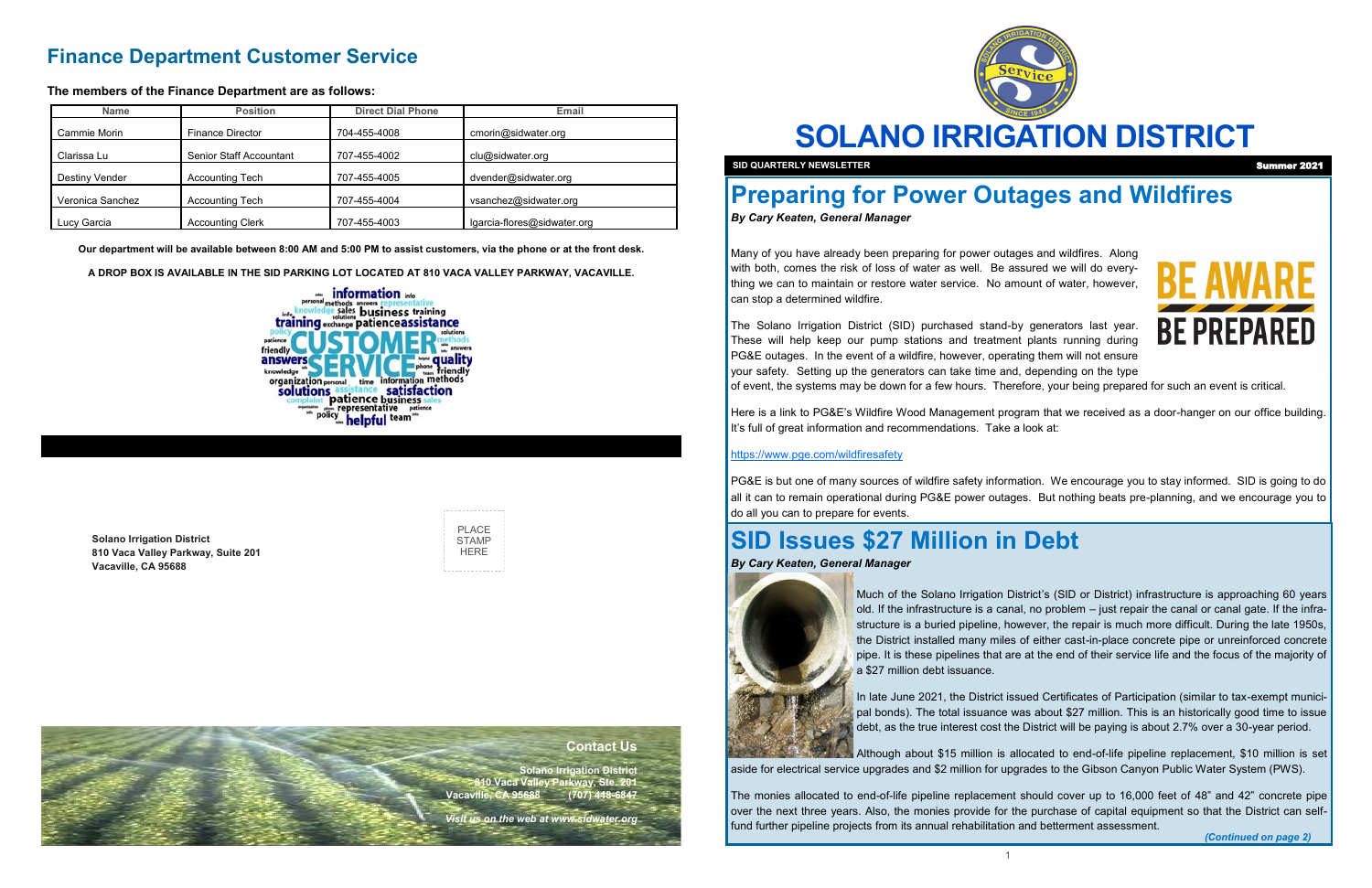

**SOLANO IRRIGATION DISTRICT**



**Solano Irrigation District 810 Vaca Valley Parkway, Suite 201 Vacaville, CA 95688**

| PI ACF |
|--------|
| STAMP  |
| HFRF   |
|        |

**SID QUARTERLY NEWSLETTER** 

## **Finance Department Customer Service**

**The members of the Finance Department are as follows:**

**Our department will be available between 8:00 AM and 5:00 PM to assist customers, via the phone or at the front desk.**

**A DROP BOX IS AVAILABLE IN THE SID PARKING LOT LOCATED AT 810 VACA VALLEY PARKWAY, VACAVILLE.**



| <b>Name</b>      | <b>Position</b>         | <b>Direct Dial Phone</b> | Email                       |
|------------------|-------------------------|--------------------------|-----------------------------|
| Cammie Morin     | <b>Finance Director</b> | 704-455-4008             | cmorin@sidwater.org         |
| Clarissa Lu      | Senior Staff Accountant | 707-455-4002             | clu@sidwater.org            |
| Destiny Vender   | <b>Accounting Tech</b>  | 707-455-4005             | dvender@sidwater.org        |
| Veronica Sanchez | <b>Accounting Tech</b>  | 707-455-4004             | vsanchez@sidwater.org       |
| Lucy Garcia      | <b>Accounting Clerk</b> | 707-455-4003             | lgarcia-flores@sidwater.org |

## **Contact Us**

**Solano Irrigation District 810 Vaca Valley Parkway, Ste. 201 Vacaville, CA 95688 (707) 448-6847** 

*Visit us on the web at www.sidwater.org*

# **Preparing for Power Outages and Wildfires**

*By Cary Keaten, General Manager*

Many of you have already been preparing for power outages and wildfires. Along with both, comes the risk of loss of water as well. Be assured we will do everything we can to maintain or restore water service. No amount of water, however, can stop a determined wildfire.

The Solano Irrigation District (SID) purchased stand-by generators last year. These will help keep our pump stations and treatment plants running during PG&E outages. In the event of a wildfire, however, operating them will not ensure your safety. Setting up the generators can take time and, depending on the type of event, the systems may be down for a few hours. Therefore, your being prepared for such an event is critical.

> In late June 2021, the District issued Certificates of Participation (similar to tax-exempt municipal bonds). The total issuance was about \$27 million. This is an historically good time to issue debt, as the true interest cost the District will be paying is about 2.7% over a 30-year period.

Here is a link to PG&E's Wildfire Wood Management program that we received as a door-hanger on our office building. It's full of great information and recommendations. Take a look at:

### <https://www.pge.com/wildfiresafety>

PG&E is but one of many sources of wildfire safety information. We encourage you to stay informed. SID is going to do all it can to remain operational during PG&E power outages. But nothing beats pre-planning, and we encourage you to do all you can to prepare for events.

# **SID Issues \$27 Million in Debt**

*By Cary Keaten, General Manager*



Much of the Solano Irrigation District's (SID or District) infrastructure is approaching 60 years old. If the infrastructure is a canal, no problem – just repair the canal or canal gate. If the infrastructure is a buried pipeline, however, the repair is much more difficult. During the late 1950s, the District installed many miles of either cast-in-place concrete pipe or unreinforced concrete pipe. It is these pipelines that are at the end of their service life and the focus of the majority of a \$27 million debt issuance.

Although about \$15 million is allocated to end-of-life pipeline replacement, \$10 million is set aside for electrical service upgrades and \$2 million for upgrades to the Gibson Canyon Public Water System (PWS).

The monies allocated to end-of-life pipeline replacement should cover up to 16,000 feet of 48" and 42" concrete pipe over the next three years. Also, the monies provide for the purchase of capital equipment so that the District can selffund further pipeline projects from its annual rehabilitation and betterment assessment.